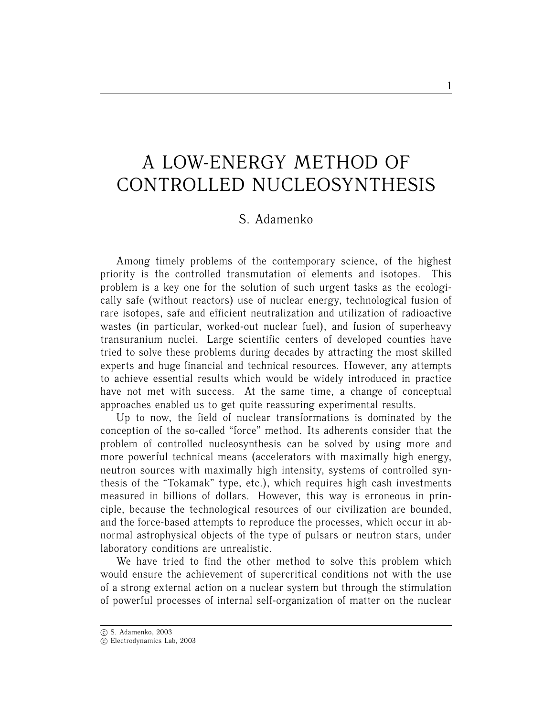## A LOW-ENERGY METHOD OF CONTROLLED NUCLEOSYNTHESIS

## S. Adamenko

Among timely problems of the contemporary science, of the highest priority is the controlled transmutation of elements and isotopes. This problem is a key one for the solution of such urgent tasks as the ecologically safe (without reactors) use of nuclear energy, technological fusion of rare isotopes, safe and efficient neutralization and utilization of radioactive wastes (in particular, worked-out nuclear fuel), and fusion of superheavy transuranium nuclei. Large scientific centers of developed counties have tried to solve these problems during decades by attracting the most skilled experts and huge financial and technical resources. However, any attempts to achieve essential results which would be widely introduced in practice have not met with success. At the same time, a change of conceptual approaches enabled us to get quite reassuring experimental results.

Up to now, the field of nuclear transformations is dominated by the conception of the so-called "force" method. Its adherents consider that the problem of controlled nucleosynthesis can be solved by using more and more powerful technical means (accelerators with maximally high energy, neutron sources with maximally high intensity, systems of controlled synthesis of the "Tokamak" type, etc.), which requires high cash investments measured in billions of dollars. However, this way is erroneous in principle, because the technological resources of our civilization are bounded, and the force-based attempts to reproduce the processes, which occur in abnormal astrophysical objects of the type of pulsars or neutron stars, under laboratory conditions are unrealistic.

We have tried to find the other method to solve this problem which would ensure the achievement of supercritical conditions not with the use of a strong external action on a nuclear system but through the stimulation of powerful processes of internal self-organization of matter on the nuclear

<sup>°</sup>c S. Adamenko, 2003

<sup>°</sup>c Electrodynamics Lab, 2003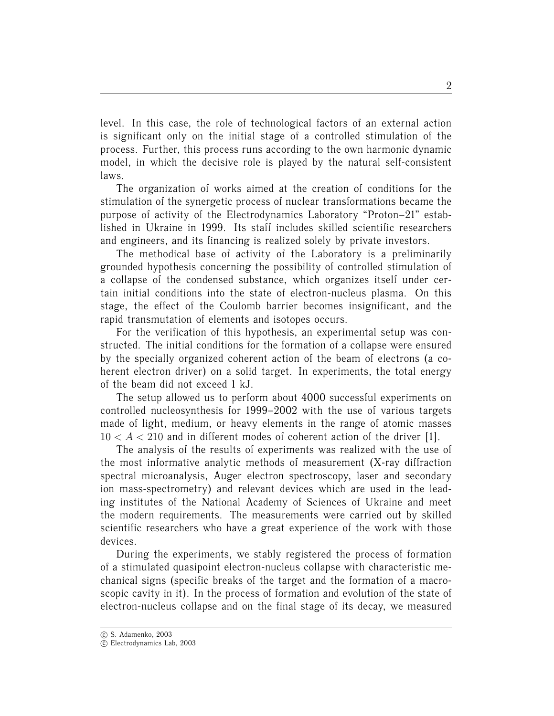level. In this case, the role of technological factors of an external action is significant only on the initial stage of a controlled stimulation of the process. Further, this process runs according to the own harmonic dynamic model, in which the decisive role is played by the natural self-consistent laws.

The organization of works aimed at the creation of conditions for the stimulation of the synergetic process of nuclear transformations became the purpose of activity of the Electrodynamics Laboratory "Proton–21" established in Ukraine in 1999. Its staff includes skilled scientific researchers and engineers, and its financing is realized solely by private investors.

The methodical base of activity of the Laboratory is a preliminarily grounded hypothesis concerning the possibility of controlled stimulation of a collapse of the condensed substance, which organizes itself under certain initial conditions into the state of electron-nucleus plasma. On this stage, the effect of the Coulomb barrier becomes insignificant, and the rapid transmutation of elements and isotopes occurs.

For the verification of this hypothesis, an experimental setup was constructed. The initial conditions for the formation of a collapse were ensured by the specially organized coherent action of the beam of electrons (a coherent electron driver) on a solid target. In experiments, the total energy of the beam did not exceed 1 kJ.

The setup allowed us to perform about 4000 successful experiments on controlled nucleosynthesis for 1999–2002 with the use of various targets made of light, medium, or heavy elements in the range of atomic masses  $10 < A < 210$  and in different modes of coherent action of the driver [1].

The analysis of the results of experiments was realized with the use of the most informative analytic methods of measurement (X-ray diffraction spectral microanalysis, Auger electron spectroscopy, laser and secondary ion mass-spectrometry) and relevant devices which are used in the leading institutes of the National Academy of Sciences of Ukraine and meet the modern requirements. The measurements were carried out by skilled scientific researchers who have a great experience of the work with those devices.

During the experiments, we stably registered the process of formation of a stimulated quasipoint electron-nucleus collapse with characteristic mechanical signs (specific breaks of the target and the formation of a macroscopic cavity in it). In the process of formation and evolution of the state of electron-nucleus collapse and on the final stage of its decay, we measured

<sup>°</sup>c S. Adamenko, 2003

 $\overline{c}$  Electrodynamics Lab, 2003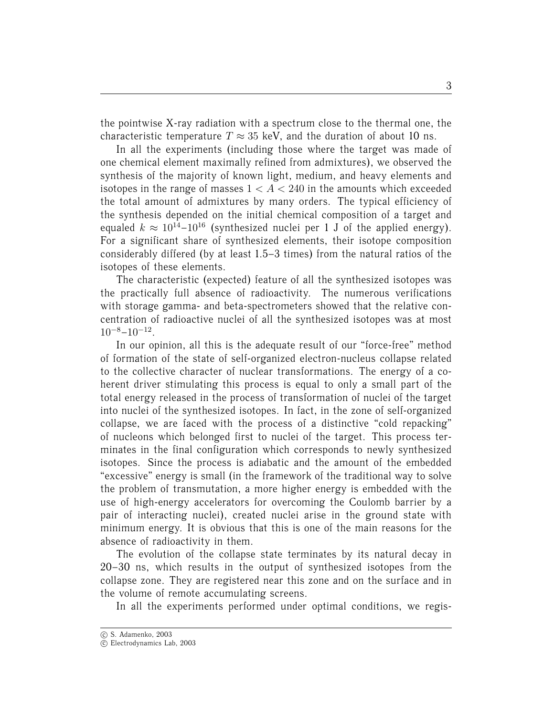the pointwise X-ray radiation with a spectrum close to the thermal one, the characteristic temperature  $T \approx 35$  keV, and the duration of about 10 ns.

In all the experiments (including those where the target was made of one chemical element maximally refined from admixtures), we observed the synthesis of the majority of known light, medium, and heavy elements and isotopes in the range of masses  $1 < A < 240$  in the amounts which exceeded the total amount of admixtures by many orders. The typical efficiency of the synthesis depended on the initial chemical composition of a target and equaled  $k \approx 10^{14}$ –10<sup>16</sup> (synthesized nuclei per 1 J of the applied energy). For a significant share of synthesized elements, their isotope composition considerably differed (by at least 1.5–3 times) from the natural ratios of the isotopes of these elements.

The characteristic (expected) feature of all the synthesized isotopes was the practically full absence of radioactivity. The numerous verifications with storage gamma- and beta-spectrometers showed that the relative concentration of radioactive nuclei of all the synthesized isotopes was at most  $10^{-8} - 10^{-12}$ .

In our opinion, all this is the adequate result of our "force-free" method of formation of the state of self-organized electron-nucleus collapse related to the collective character of nuclear transformations. The energy of a coherent driver stimulating this process is equal to only a small part of the total energy released in the process of transformation of nuclei of the target into nuclei of the synthesized isotopes. In fact, in the zone of self-organized collapse, we are faced with the process of a distinctive "cold repacking" of nucleons which belonged first to nuclei of the target. This process terminates in the final configuration which corresponds to newly synthesized isotopes. Since the process is adiabatic and the amount of the embedded "excessive" energy is small (in the framework of the traditional way to solve the problem of transmutation, a more higher energy is embedded with the use of high-energy accelerators for overcoming the Coulomb barrier by a pair of interacting nuclei), created nuclei arise in the ground state with minimum energy. It is obvious that this is one of the main reasons for the absence of radioactivity in them.

The evolution of the collapse state terminates by its natural decay in 20–30 ns, which results in the output of synthesized isotopes from the collapse zone. They are registered near this zone and on the surface and in the volume of remote accumulating screens.

In all the experiments performed under optimal conditions, we regis-

<sup>°</sup>c S. Adamenko, 2003

 $\overline{c}$  Electrodynamics Lab, 2003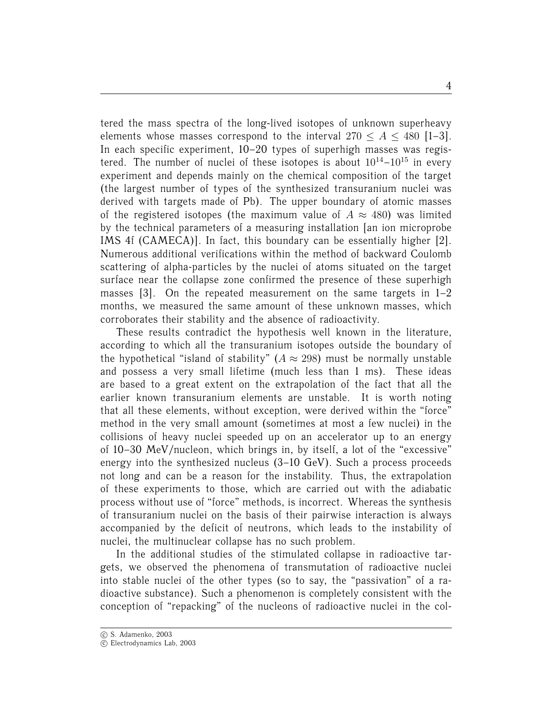tered the mass spectra of the long-lived isotopes of unknown superheavy elements whose masses correspond to the interval  $270 < A < 480$  [1–3]. In each specific experiment, 10–20 types of superhigh masses was registered. The number of nuclei of these isotopes is about  $10^{14}-10^{15}$  in every experiment and depends mainly on the chemical composition of the target (the largest number of types of the synthesized transuranium nuclei was derived with targets made of Pb). The upper boundary of atomic masses of the registered isotopes (the maximum value of  $A \approx 480$ ) was limited by the technical parameters of a measuring installation [an ion microprobe IMS 4f (CAMECA)]. In fact, this boundary can be essentially higher [2]. Numerous additional verifications within the method of backward Coulomb scattering of alpha-particles by the nuclei of atoms situated on the target surface near the collapse zone confirmed the presence of these superhigh masses  $[3]$ . On the repeated measurement on the same targets in  $1-2$ months, we measured the same amount of these unknown masses, which corroborates their stability and the absence of radioactivity.

These results contradict the hypothesis well known in the literature, according to which all the transuranium isotopes outside the boundary of the hypothetical "island of stability" ( $A \approx 298$ ) must be normally unstable and possess a very small lifetime (much less than 1 ms). These ideas are based to a great extent on the extrapolation of the fact that all the earlier known transuranium elements are unstable. It is worth noting that all these elements, without exception, were derived within the "force" method in the very small amount (sometimes at most a few nuclei) in the collisions of heavy nuclei speeded up on an accelerator up to an energy of 10–30 MeV/nucleon, which brings in, by itself, a lot of the "excessive" energy into the synthesized nucleus (3–10 GeV). Such a process proceeds not long and can be a reason for the instability. Thus, the extrapolation of these experiments to those, which are carried out with the adiabatic process without use of "force" methods, is incorrect. Whereas the synthesis of transuranium nuclei on the basis of their pairwise interaction is always accompanied by the deficit of neutrons, which leads to the instability of nuclei, the multinuclear collapse has no such problem.

In the additional studies of the stimulated collapse in radioactive targets, we observed the phenomena of transmutation of radioactive nuclei into stable nuclei of the other types (so to say, the "passivation" of a radioactive substance). Such a phenomenon is completely consistent with the conception of "repacking" of the nucleons of radioactive nuclei in the col-

<sup>°</sup>c S. Adamenko, 2003

 $\overline{c}$  Electrodynamics Lab, 2003